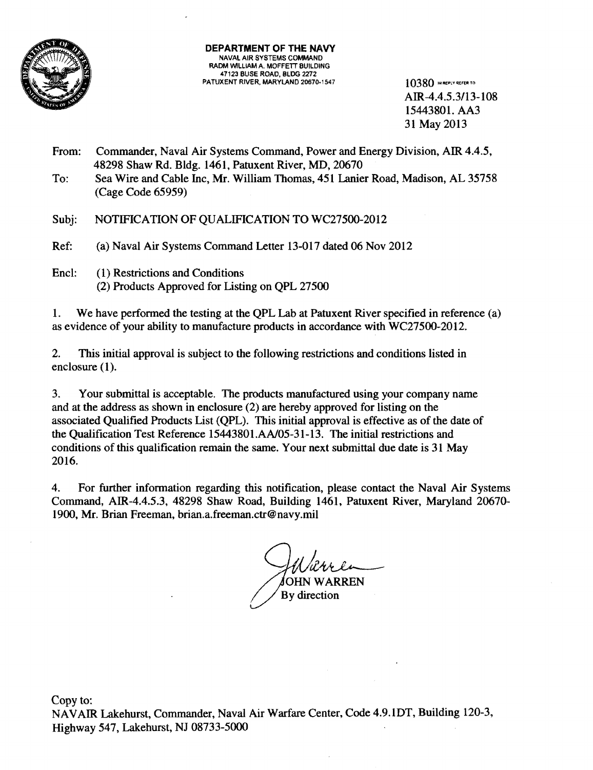

AIR-4.4.5.3/13-108 15443801.AA3 31 May 2013

- From: Commander, Naval Air Systems Command, Power and Energy Division, AIR 4.4.5, 48298 Shaw Rd. Bldg. 1461, Patuxent River, MD, 20670
- To: Sea Wire and Cable Inc, Mr. William Thomas, 451 Lanier Road, Madison, AL 35758 (Cage Code 65959)
- Subj: NOTIFICATION OF QUALIFICATION TO WC27500-2012
- Ref: (a) Naval Air Systems Command Letter 13-017 dated 06 Nov 2012
- Encl: (1) Restrictions and Conditions (2) Products Approved for Listing on QPL 27500

1. We have performed the testing at the QPL Lab at Patuxent River specified in reference (a) as evidence of your ability to manufacture products in accordance with WC275OO-2012.

2. This initial approval is subject to the following restrictions and conditions listed in enclosure (1).

3. Your submittal is acceptable. The products manufactured using your company name and at the address as shown in enclosure (2) are hereby approved for listing on the associated Qualified Products List (QPL). This initial approval is effective as of the date of the Qualification Test Reference 15443801.AAl05-31-13. The initial restrictions and conditions of this qualification remain the same. Your next submittal due date is 31 May 2016.

4. For further information regarding this notification, please contact the Naval Air Systems Command, AIR-4.4.5.3, 48298 Shaw Road, Building 1461, Patuxent River, Maryland 20670 1900, Mr. Brian Freeman, brian.a.freeman.ctr@navy.mil

**OHN WARREN** By direction

Copy to: NAVAIR Lakehurst, Commander, Naval Air Warfare Center, Code 4.9.1DT, Building 120-3, Highway 547, Lakehurst, NJ 08733-5000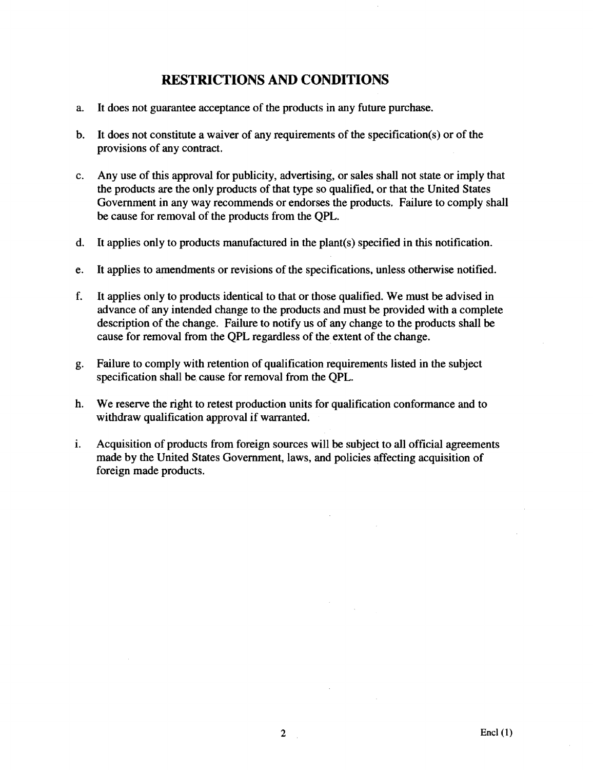# **RESTRICTIONS AND CONDITIONS**

- a. It does not guarantee acceptance of the products in any future purchase.
- b. It does not constitute a waiver of any requirements of the specification(s) or of the provisions of any contract.
- c. Any use of this approval for publicity, advertising, or sales shall not state or imply that the products are the only products of that type so qualified, or that the United States Government in any way recommends or endorses the products. Failure to comply shall be cause for removal of the products from the QPL.
- d. It applies only to products manufactured in the plant(s) specified in this notification.
- e. It applies to amendments or revisions of the specifications, unless otherwise notified.
- f. It applies only to products identical to that or those qualified. We must be advised in advance of any intended change to the products and must be provided with a complete description of the change. Failure to notify us of any change to the products shall be cause for removal from the QPL regardless of the extent of the change.
- g. Failure to comply with retention of qualification requirements listed in the subject specification shall be cause for removal from the QPL.
- h. We reserve the right to retest production units for qualification conformance and to withdraw qualification approval if warranted.
- i. Acquisition of products from foreign sources will be subject to all official agreements made by the United States Government, laws, and policies affecting acquisition of foreign made products.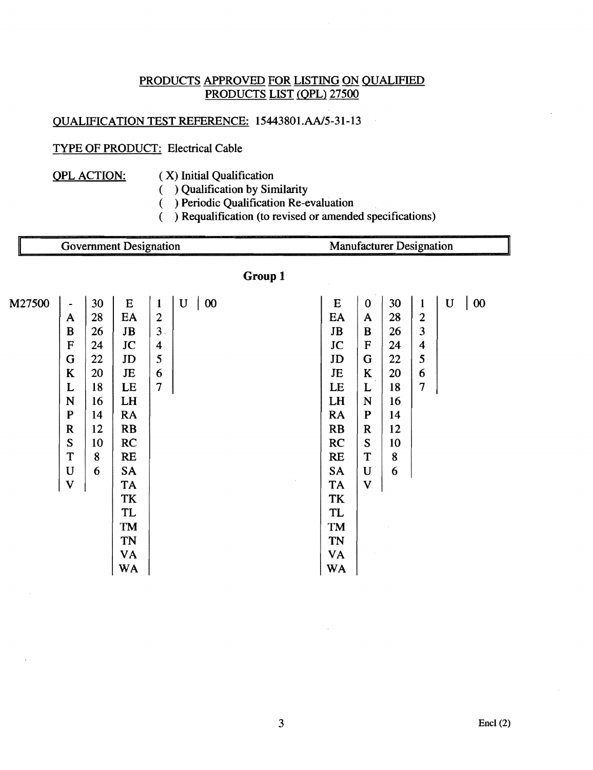# PRODUCTS APPROVED FOR LISTING ON QUALIFIED PRODUCTS LIST (QPL) 27500

# QUALIFICATION TEST REFERENCE: 15443801.AAJ5-31-13

# TYPE OF PRODUCT: Electrical Cable

- 
- QPL ACTION:  $(X)$  Initial Qualification
	- ( ) Qualification by Similarity
	- ( ) Periodic Qualification Re-evaluation
	- ( ) Requalification (to revised or amended specifications)

|         |                                |          | <b>Government Designation</b> |                                |                                                  |  | <b>Manufacturer Designation</b> |                          |          |                                |             |        |  |  |  |  |  |
|---------|--------------------------------|----------|-------------------------------|--------------------------------|--------------------------------------------------|--|---------------------------------|--------------------------|----------|--------------------------------|-------------|--------|--|--|--|--|--|
| Group 1 |                                |          |                               |                                |                                                  |  |                                 |                          |          |                                |             |        |  |  |  |  |  |
| M27500  | $\blacksquare$<br>$\mathbf{A}$ | 30<br>28 | ${\bf E}$<br>EA               | $\mathbf{1}$<br>$\overline{2}$ | $\mathbf U$<br>$\boldsymbol{00}$<br>$\mathbb{R}$ |  | E<br>EA                         | $\bf{0}$<br>$\mathbf{A}$ | 30<br>28 | $\mathbf{1}$<br>$\overline{2}$ | $\mathbf U$ | $00\,$ |  |  |  |  |  |
|         | B                              | 26       | $\mathbf{J}\mathbf{B}$        | 3.                             |                                                  |  | $\mathbf{JB}$                   | $\bf{B}$                 | 26       | 3                              |             |        |  |  |  |  |  |
|         | F                              | 24       | JC                            | $\boldsymbol{4}$               |                                                  |  | JC                              | ${\bf F}$                | 24       | $\overline{\mathbf{4}}$        |             |        |  |  |  |  |  |
|         | G                              | 22       | JD                            | 5                              |                                                  |  | JD                              | ${\bf G}$                | 22       | 5                              |             |        |  |  |  |  |  |
|         | $\bf K$                        | 20       | JE                            | 6                              |                                                  |  | JE                              | $\mathbf K$              | 20       | 6                              |             |        |  |  |  |  |  |
|         | L                              | 18       | LE                            | $\overline{\tau}$              |                                                  |  | LE                              | L                        | 18       | $\tau$                         |             |        |  |  |  |  |  |
|         | N                              | 16       | LH                            |                                |                                                  |  | LH                              | $\mathbf N$              | 16       |                                |             |        |  |  |  |  |  |
|         | $\mathbf{P}$                   | 14       | <b>RA</b>                     |                                |                                                  |  | <b>RA</b>                       | ${\bf P}$                | 14       |                                |             |        |  |  |  |  |  |
|         | $\mathbf R$                    | 12       | RB                            |                                |                                                  |  | RB                              | ${\bf R}$                | 12       |                                |             |        |  |  |  |  |  |
|         | S                              | 10       | RC                            |                                |                                                  |  | RC                              | S                        | 10       |                                |             |        |  |  |  |  |  |
|         | T                              | 8        | <b>RE</b>                     |                                |                                                  |  | <b>RE</b>                       | T                        | 8        |                                |             |        |  |  |  |  |  |
|         | $\mathbf U$                    | 6        | <b>SA</b>                     |                                |                                                  |  | <b>SA</b>                       | $\mathbf U$              | 6        |                                |             |        |  |  |  |  |  |
|         | $\overline{\mathbf{V}}$        |          | <b>TA</b>                     |                                |                                                  |  | TA                              | $\overline{\mathbf{V}}$  |          |                                |             |        |  |  |  |  |  |
|         |                                |          | TK                            |                                |                                                  |  | TK                              |                          |          |                                |             |        |  |  |  |  |  |
|         |                                |          | <b>TL</b>                     |                                |                                                  |  | <b>TL</b>                       |                          |          |                                |             |        |  |  |  |  |  |
|         |                                |          | TM                            |                                |                                                  |  | TM                              |                          |          |                                |             |        |  |  |  |  |  |
|         |                                |          | <b>TN</b>                     |                                |                                                  |  | TN                              |                          |          |                                |             |        |  |  |  |  |  |
|         |                                |          | VA                            |                                |                                                  |  | VA                              |                          |          |                                |             |        |  |  |  |  |  |
|         |                                |          | <b>WA</b>                     |                                |                                                  |  | <b>WA</b>                       |                          |          |                                |             |        |  |  |  |  |  |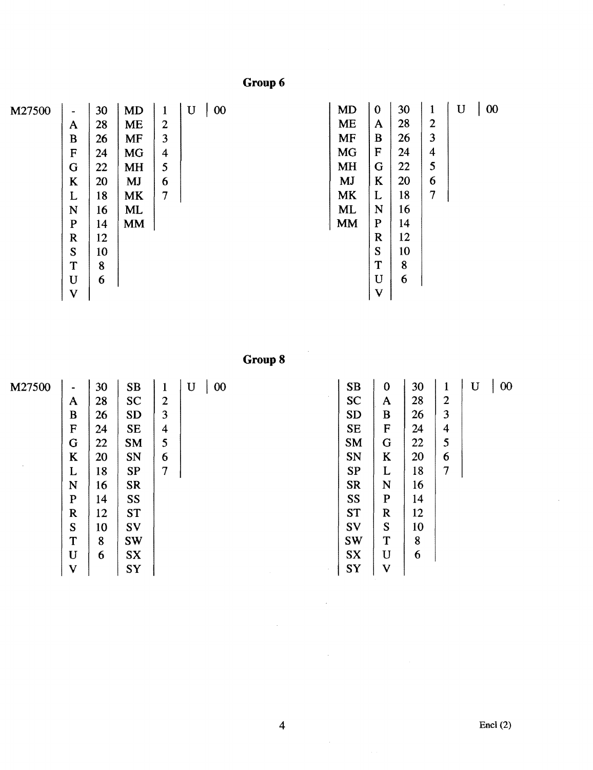Group 6

| M27500 | $\blacksquare$ | 30 | <b>MD</b> | $\mathbf{1}$   | $\mathbf U$<br>$00\,$ | <b>MD</b> | $\mathbf 0$ | 30 | 1              | $00\,$<br>$\mathbf U$ |
|--------|----------------|----|-----------|----------------|-----------------------|-----------|-------------|----|----------------|-----------------------|
|        |                |    |           |                |                       | <b>ME</b> |             | 28 | $\overline{2}$ |                       |
|        | $\mathbf A$    | 28 | <b>ME</b> | $\overline{2}$ |                       |           | A           |    |                |                       |
|        | B              | 26 | MF        | 3              |                       | <b>MF</b> | B           | 26 | 3              |                       |
|        | F              | 24 | <b>MG</b> | 4              |                       | <b>MG</b> | F           | 24 | $\overline{4}$ |                       |
|        | G              | 22 | <b>MH</b> | 5              |                       | <b>MH</b> | G           | 22 | 5              |                       |
|        | K              | 20 | <b>MJ</b> | 6              |                       | <b>MJ</b> | K           | 20 | 6              |                       |
|        | L              | 18 | <b>MK</b> | $\overline{7}$ |                       | <b>MK</b> | L           | 18 | 7              |                       |
|        | N              | 16 | ML        |                |                       | <b>ML</b> | N           | 16 |                |                       |
|        | $\mathbf{P}$   | 14 | <b>MM</b> |                |                       | <b>MM</b> | ${\bf P}$   | 14 |                |                       |
|        | $\bf R$        | 12 |           |                |                       |           | $\mathbf R$ | 12 |                |                       |
|        | S              | 10 |           |                |                       |           | S           | 10 |                |                       |
|        | T              | 8  |           |                |                       |           | T           | 8  |                |                       |
|        | $\mathbf U$    | 6  |           |                |                       |           | U           | 6  |                |                       |
|        | V              |    |           |                |                       |           | $\mathbf V$ |    |                |                       |

**GroupS** 

 $\sim$ 

| M27500 |                       | 30 | <b>SB</b> | 1              | 00<br>$\mathbf{U}$ | <b>SB</b> | $\bf{0}$     | 30 | $\mathbf{1}$            | $\mathbf U$ | $00\,$ |
|--------|-----------------------|----|-----------|----------------|--------------------|-----------|--------------|----|-------------------------|-------------|--------|
|        | $\tilde{\phantom{a}}$ |    |           |                |                    |           |              |    |                         |             |        |
|        | A                     | 28 | <b>SC</b> | $\overline{2}$ |                    | <b>SC</b> | $\mathbf{A}$ | 28 | $\overline{2}$          |             |        |
|        | B                     | 26 | <b>SD</b> | 3              |                    | <b>SD</b> | B            | 26 | 3                       |             |        |
|        | $\mathbf F$           | 24 | <b>SE</b> | $\overline{4}$ |                    | <b>SE</b> | F            | 24 | $\overline{\mathbf{4}}$ |             |        |
|        | G                     | 22 | <b>SM</b> | 5              |                    | <b>SM</b> | G            | 22 | 5                       |             |        |
|        | K                     | 20 | SN        | 6              |                    | SN        | K            | 20 | 6                       |             |        |
|        | L                     | 18 | <b>SP</b> | 7              |                    | <b>SP</b> | L            | 18 | 7                       |             |        |
|        | N                     | 16 | <b>SR</b> |                |                    | <b>SR</b> | N            | 16 |                         |             |        |
|        | $\mathbf P$           | 14 | SS        |                |                    | SS        | $\mathbf{P}$ | 14 |                         |             |        |
|        | $\mathbf R$           | 12 | <b>ST</b> |                |                    | <b>ST</b> | $\mathbf R$  | 12 |                         |             |        |
|        | S                     | 10 | SV        |                |                    | SV        | S            | 10 |                         |             |        |
|        | T                     | 8  | <b>SW</b> |                |                    | <b>SW</b> | T            | 8  |                         |             |        |
|        | U                     | 6  | <b>SX</b> |                |                    | <b>SX</b> | $\mathbf U$  | 6  |                         |             |        |
|        | $\mathbf V$           |    | SY        |                |                    | SY        | $\mathbf{V}$ |    |                         |             |        |

 $\bar{z}$ 

 $\sim$ 

 $\sim$ 

 $\sim$   $\sim$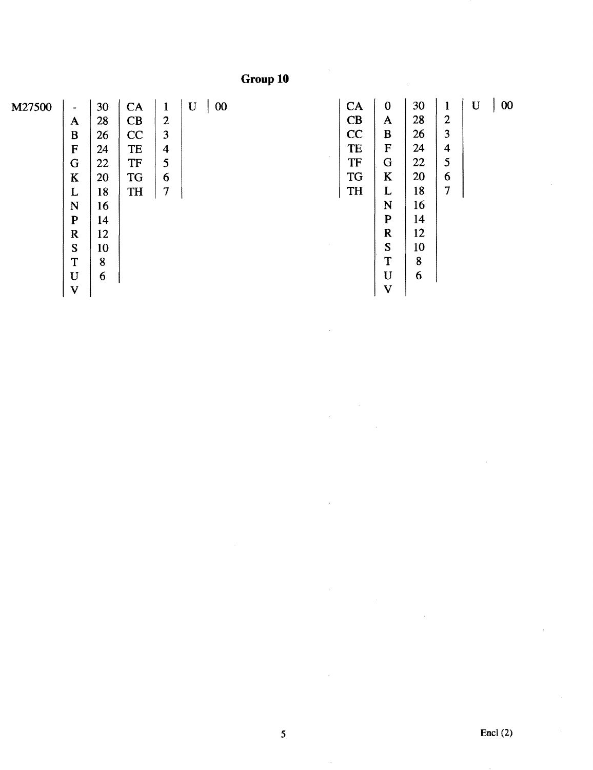**Group 10** 

| M27500 | $\blacksquare$            | 30 | CA        | $\mathbf{1}$   | $\mathbf U$ | $00\,$ |        | CA        | $\bf{0}$     | 30 | 1                       | U | 00 |
|--------|---------------------------|----|-----------|----------------|-------------|--------|--------|-----------|--------------|----|-------------------------|---|----|
|        | A                         | 28 | CB        | $\overline{2}$ |             |        |        | CB        | A            | 28 | $\mathbf{2}$            |   |    |
|        | B                         | 26 | CC        | 3              |             |        |        | CC        | B            | 26 | 3                       |   |    |
|        | F                         | 24 | TE        | 4              |             |        |        | TE        | F            | 24 | $\overline{\mathbf{4}}$ |   |    |
|        | G                         | 22 | <b>TF</b> | 5              |             |        | $\sim$ | <b>TF</b> | G            | 22 | 5                       |   |    |
|        | K                         | 20 | <b>TG</b> | 6              |             |        |        | <b>TG</b> | K            | 20 | 6                       |   |    |
|        | L                         | 18 | <b>TH</b> | 7              |             |        |        | <b>TH</b> | L            | 18 | 7                       |   |    |
|        | N                         | 16 |           |                |             |        |        |           | N            | 16 |                         |   |    |
|        | P                         | 14 |           |                |             |        |        |           | $\mathbf{P}$ | 14 |                         |   |    |
|        | $\bf R$                   | 12 |           |                |             |        |        |           | $\mathbf R$  | 12 |                         |   |    |
|        | S                         | 10 |           |                |             |        |        |           | S            | 10 |                         |   |    |
|        | T                         | 8  |           |                |             |        |        |           | T            | 8  |                         |   |    |
|        | $\mathbf U$               | 6  |           |                |             |        |        |           | U            | 6  |                         |   |    |
|        | $\boldsymbol{\mathrm{V}}$ |    |           |                |             |        |        |           | $\mathbf V$  |    |                         |   |    |

 $\cdot$